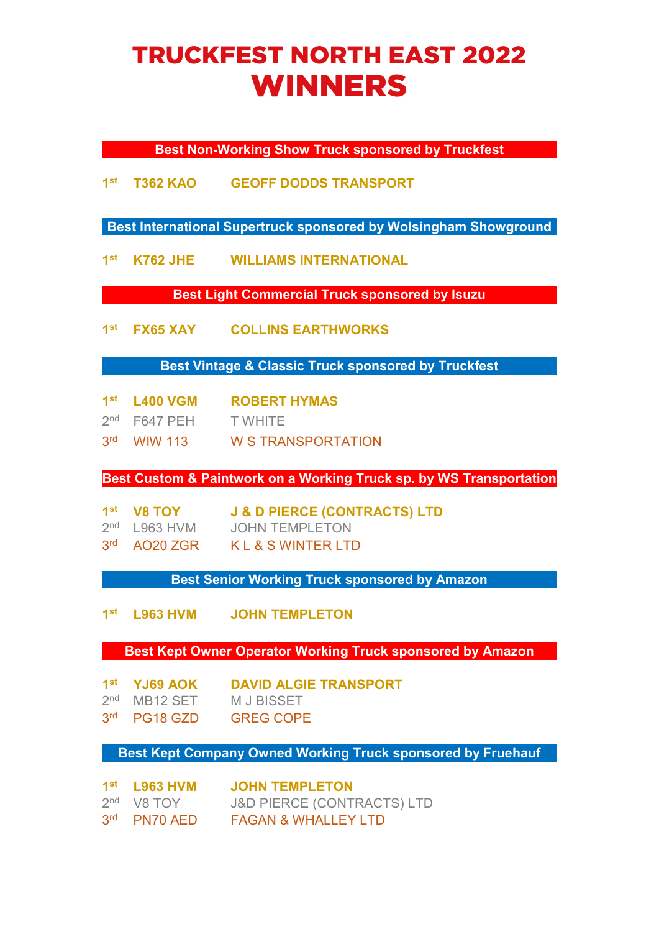## TRUCKFEST NORTH EAST 2022 WINNERS

**Best Non-Working Show Truck sponsored by Truckfest**

**1st T362 KAO GEOFF DODDS TRANSPORT**

**Best International Supertruck sponsored by Wolsingham Showground**

**1st K762 JHE WILLIAMS INTERNATIONAL**

**Best Light Commercial Truck sponsored by Isuzu**

**1st FX65 XAY COLLINS EARTHWORKS**

**Best Vintage & Classic Truck sponsored by Truckfest**

- **1st L400 VGM ROBERT HYMAS**
- 2nd F647 PEH T WHITE
- 3rd WIW 113 W S TRANSPORTATION

**Best Custom & Paintwork on a Working Truck sp. by WS Transportation**

- **1st V8 TOY J & D PIERCE (CONTRACTS) LTD**
- 2<sup>nd</sup> L963 HVM JOHN TEMPLETON
- 3rd AO20 ZGR K L & S WINTER LTD

**Best Senior Working Truck sponsored by Amazon**

**1st L963 HVM JOHN TEMPLETON**

**Best Kept Owner Operator Working Truck sponsored by Amazon**

- **1st YJ69 AOK DAVID ALGIE TRANSPORT**
- 2<sup>nd</sup> MB12 SET M J BISSET
- 3rd PG18 GZD GREG COPE

## **Best Kept Company Owned Working Truck sponsored by Fruehauf**

| $1st$ L963 HVM | <b>JOHN TEMPLETON</b>                 |
|----------------|---------------------------------------|
| $2nd$ V8 TOY   | <b>J&amp;D PIERCE (CONTRACTS) LTD</b> |
| 3rd PN70 AED   | <b>FAGAN &amp; WHALLEY LTD</b>        |